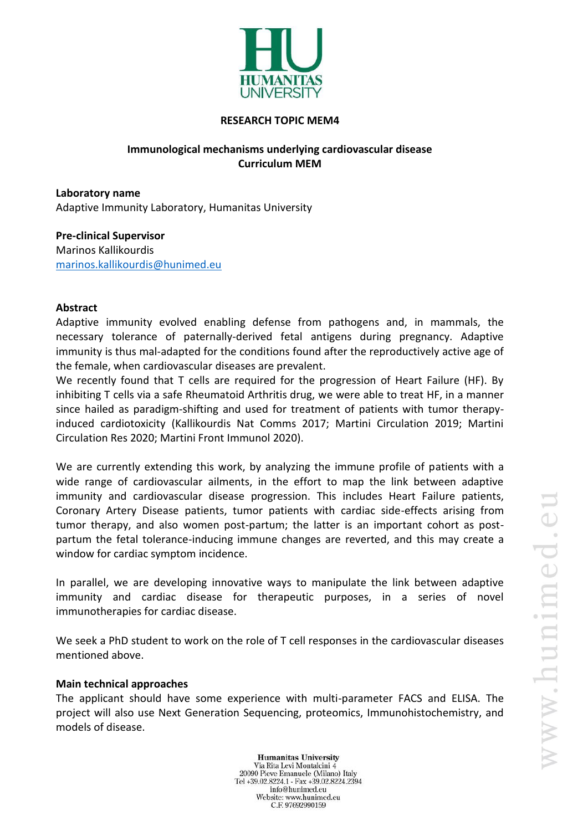

#### **RESEARCH TOPIC MEM4**

# **Immunological mechanisms underlying cardiovascular disease Curriculum MEM**

**Laboratory name** Adaptive Immunity Laboratory, Humanitas University

**Pre-clinical Supervisor** Marinos Kallikourdis [marinos.kallikourdis@hunimed.eu](mailto:marinos.kallikourdis@hunimed.eu)

#### **Abstract**

Adaptive immunity evolved enabling defense from pathogens and, in mammals, the necessary tolerance of paternally-derived fetal antigens during pregnancy. Adaptive immunity is thus mal-adapted for the conditions found after the reproductively active age of the female, when cardiovascular diseases are prevalent.

We recently found that T cells are required for the progression of Heart Failure (HF). By inhibiting T cells via a safe Rheumatoid Arthritis drug, we were able to treat HF, in a manner since hailed as paradigm-shifting and used for treatment of patients with tumor therapyinduced cardiotoxicity (Kallikourdis Nat Comms 2017; Martini Circulation 2019; Martini Circulation Res 2020; Martini Front Immunol 2020).

We are currently extending this work, by analyzing the immune profile of patients with a wide range of cardiovascular ailments, in the effort to map the link between adaptive immunity and cardiovascular disease progression. This includes Heart Failure patients, Coronary Artery Disease patients, tumor patients with cardiac side-effects arising from tumor therapy, and also women post-partum; the latter is an important cohort as postpartum the fetal tolerance-inducing immune changes are reverted, and this may create a window for cardiac symptom incidence.

In parallel, we are developing innovative ways to manipulate the link between adaptive immunity and cardiac disease for therapeutic purposes, in a series of novel immunotherapies for cardiac disease.

We seek a PhD student to work on the role of T cell responses in the cardiovascular diseases mentioned above.

#### **Main technical approaches**

The applicant should have some experience with multi-parameter FACS and ELISA. The project will also use Next Generation Sequencing, proteomics, Immunohistochemistry, and models of disease.

> **Humanitas University** Via Rita Levi Montalcini 4 20090 Pieve Emanuele (Milano) Italy Tel +39.02.8224.1 - Fax +39.02.8224.2394 info@hunimed.eu Website: www.hunimed.eu C.F. 97692990159